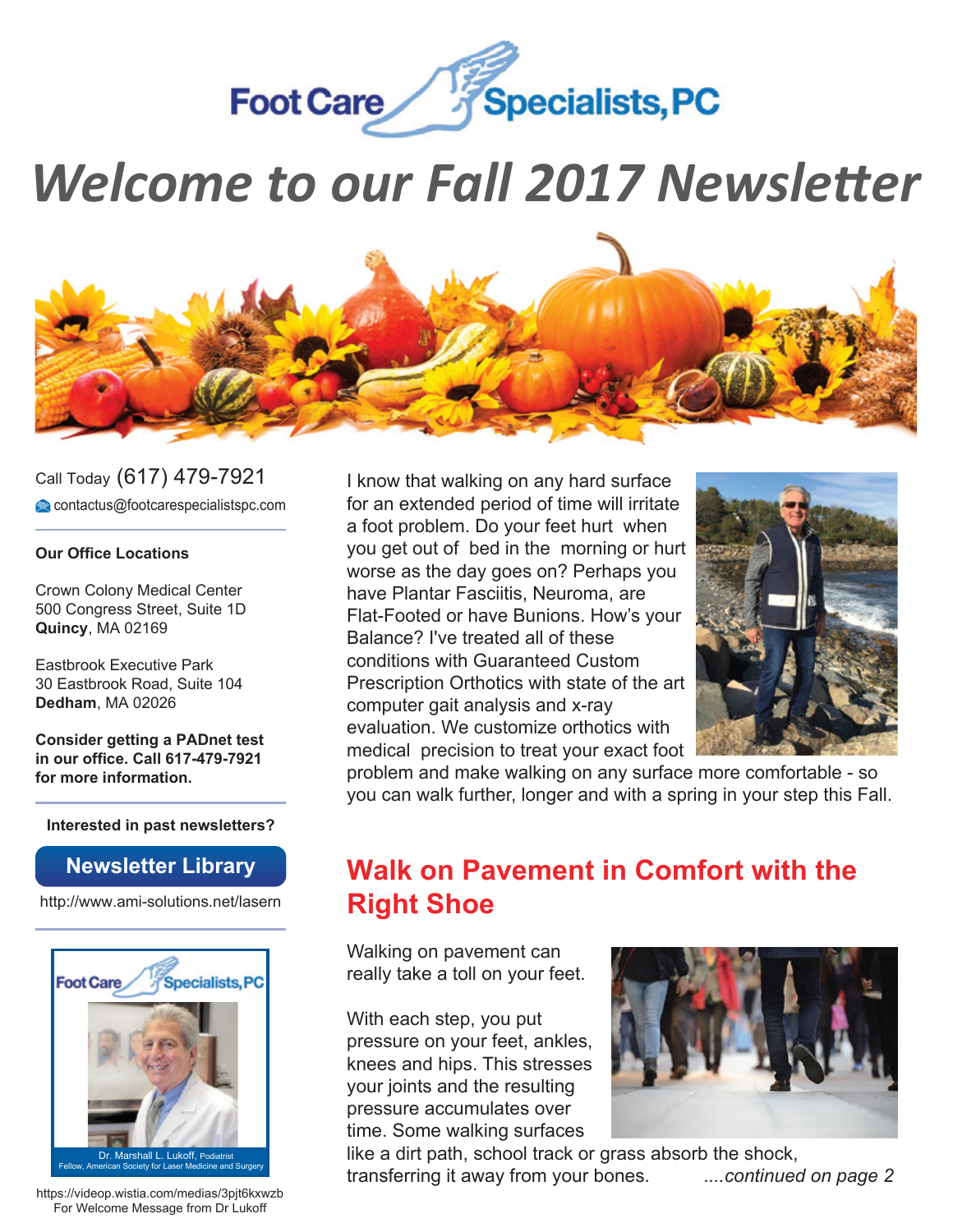

# *Welcome to our Fall 2017 Newsletter*



Call Today (617) 479-7921 contactus@footcarespecialistspc.com

#### **Our Office Locations**

Crown Colony Medical Center 500 Congress Street, Suite 1D **Quincy**, MA 02169

Eastbrook Executive Park 30 Eastbrook Road, Suite 104 **Dedham**, MA 02026

**Consider getting a PADnet test in our office. Call 617-479-7921 for more information.**

**Interested in past newsletters?**

#### **Newsletter Library**

http://www.ami-solutions.net/lasern



https://videop.wistia.com/medias/3pjt6kxwzb For Welcome Message from Dr Lukoff

I know that walking on any hard surface for an extended period of time will irritate a foot problem. Do your feet hurt when you get out of bed in the morning or hurt worse as the day goes on? Perhaps you have Plantar Fasciitis, Neuroma, are Flat-Footed or have Bunions. How's your Balance? I've treated all of these conditions with Guaranteed Custom Prescription Orthotics with state of the art computer gait analysis and x-ray evaluation. We customize orthotics with medical precision to treat your exact foot



problem and make walking on any surface more comfortable - so you can walk further, longer and with a spring in your step this Fall.

# **Walk on Pavement in Comfort with the Right Shoe**

Walking on pavement can really take a toll on your feet.

With each step, you put pressure on your feet, ankles, knees and hips. This stresses your joints and the resulting pressure accumulates over time. Some walking surfaces



like a dirt path, school track or grass absorb the shock, transferring it away from your bones. .*...continued on page 2*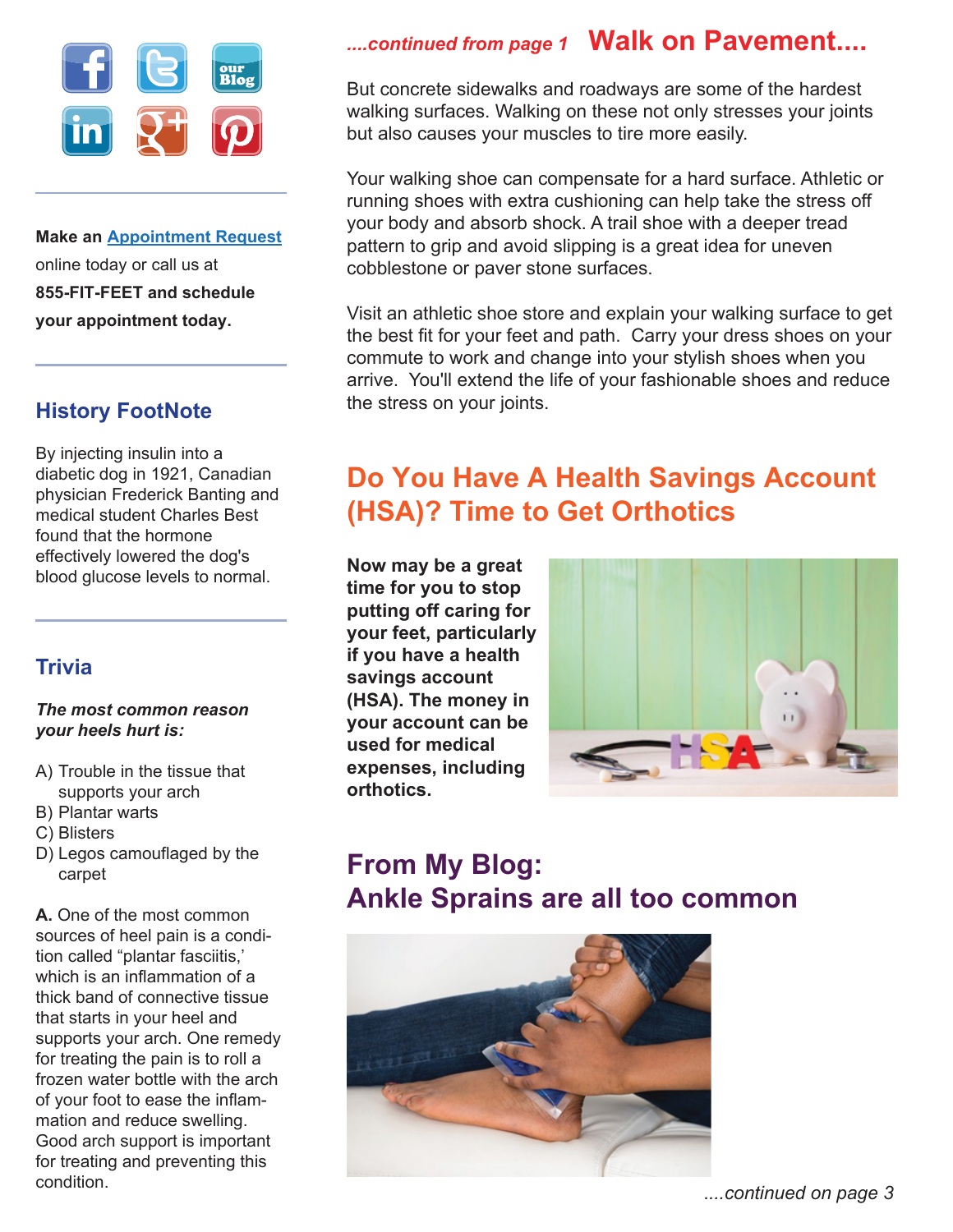

**Make an Appointment Request** online today or call us at **855-FIT-FEET and schedule your appointment today.**

### **History FootNote**

By injecting insulin into a diabetic dog in 1921, Canadian physician Frederick Banting and medical student Charles Best found that the hormone effectively lowered the dog's blood glucose levels to normal.

### **Trivia**

#### *The most common reason your heels hurt is:*

- A) Trouble in the tissue that supports your arch
- B) Plantar warts
- C) Blisters
- D) Legos camouflaged by the carpet

**A.** One of the most common sources of heel pain is a condition called "plantar fasciitis,' which is an inflammation of a thick band of connective tissue that starts in your heel and supports your arch. One remedy for treating the pain is to roll a frozen water bottle with the arch of your foot to ease the inflammation and reduce swelling. Good arch support is important for treating and preventing this condition.

## *....continued from page 1* **Walk on Pavement....**

But concrete sidewalks and roadways are some of the hardest walking surfaces. Walking on these not only stresses your joints but also causes your muscles to tire more easily.

Your walking shoe can compensate for a hard surface. Athletic or running shoes with extra cushioning can help take the stress off your body and absorb shock. A trail shoe with a deeper tread pattern to grip and avoid slipping is a great idea for uneven cobblestone or paver stone surfaces.

Visit an athletic shoe store and explain your walking surface to get the best fit for your feet and path. Carry your dress shoes on your commute to work and change into your stylish shoes when you arrive. You'll extend the life of your fashionable shoes and reduce the stress on your joints.

# **Do You Have A Health Savings Account (HSA)? Time to Get Orthotics**

**Now may be a great time for you to stop putting off caring for your feet, particularly if you have a health savings account (HSA). The money in your account can be used for medical expenses, including orthotics.**



# **From My Blog: Ankle Sprains are all too common**

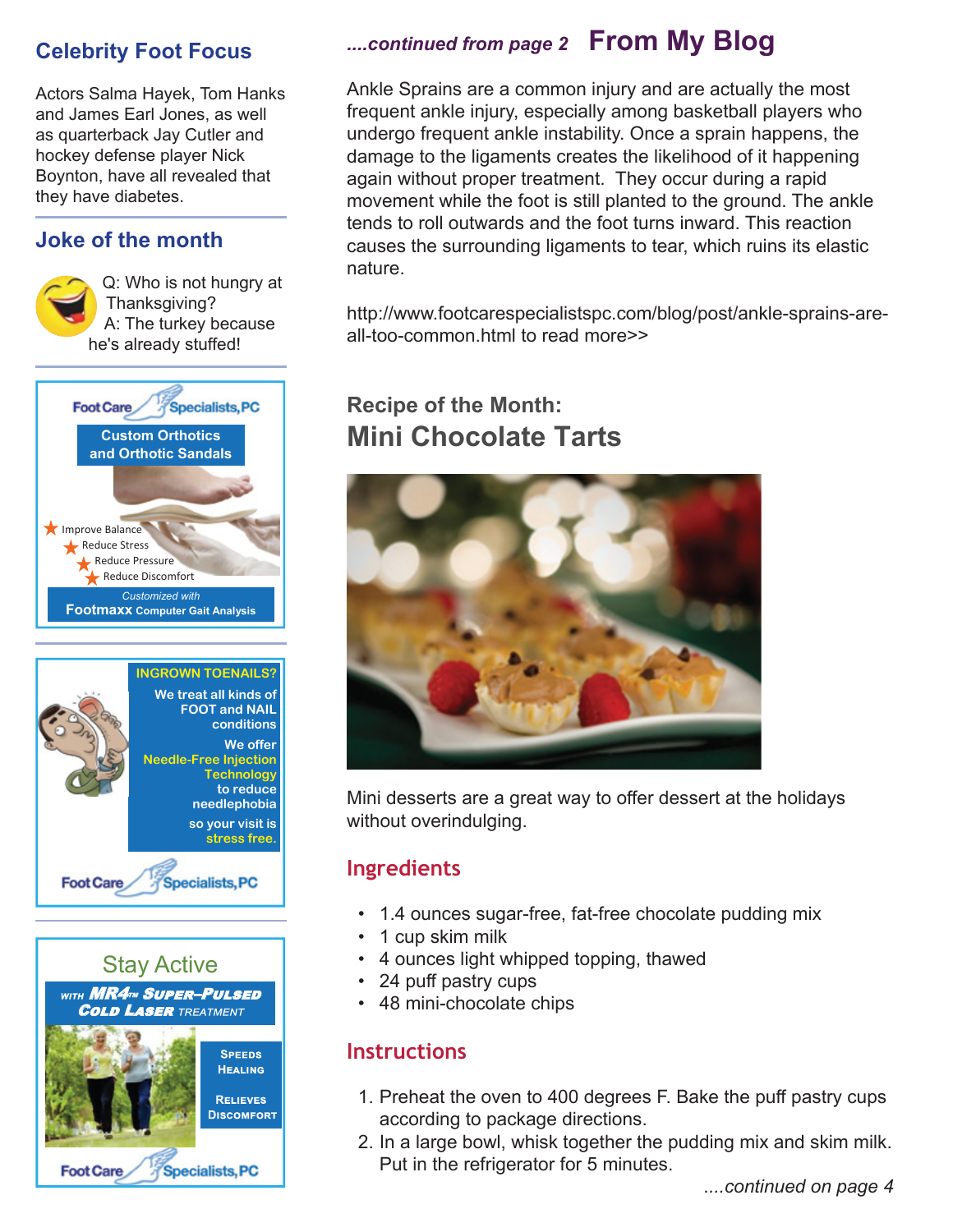### **Celebrity Foot Focus**

Actors Salma Hayek, Tom Hanks and James Earl Jones, as well as quarterback Jay Cutler and hockey defense player Nick Boynton, have all revealed that they have diabetes.

### **Joke of the month**







### *....continued from page 2* **From My Blog**

Ankle Sprains are a common injury and are actually the most frequent ankle injury, especially among basketball players who undergo frequent ankle instability. Once a sprain happens, the damage to the ligaments creates the likelihood of it happening again without proper treatment. They occur during a rapid movement while the foot is still planted to the ground. The ankle tends to roll outwards and the foot turns inward. This reaction causes the surrounding ligaments to tear, which ruins its elastic nature.

http://www.footcarespecialistspc.com/blog/post/ankle-sprains-areall-too-common.html to read more>>

# **Recipe of the Month: Mini Chocolate Tarts**



Mini desserts are a great way to offer dessert at the holidays without overindulging.

### **Ingredients**

- 1.4 ounces sugar-free, fat-free chocolate pudding mix
- 1 cup skim milk
- 4 ounces light whipped topping, thawed
- 24 puff pastry cups
- 48 mini-chocolate chips

### **Instructions**

- 1. Preheat the oven to 400 degrees F. Bake the puff pastry cups according to package directions.
- 2. In a large bowl, whisk together the pudding mix and skim milk. Put in the refrigerator for 5 minutes.

.*...continued on page 4*